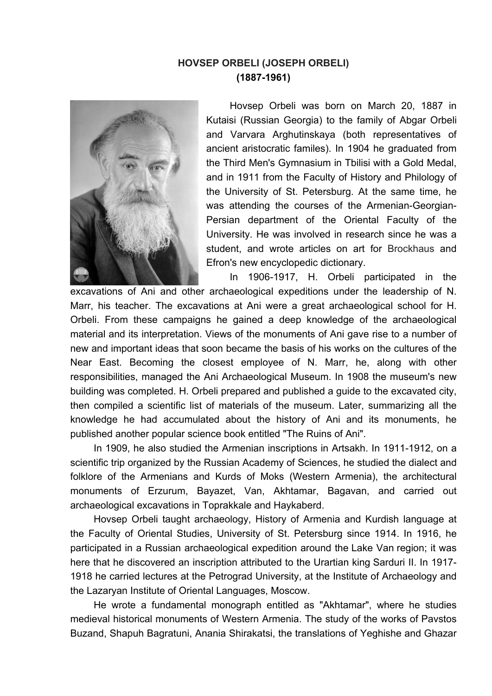## **HOVSEP ORBELI (JOSEPH ORBELI) (1887-1961)**



Hovsep Orbeli was born on March 20, 1887 in Kutaisi (Russian Georgia) to the family of Abgar Orbeli and Varvara Arghutinskaya (both representatives of ancient aristocratic familes). In 1904 he graduated from the Third Men's Gymnasium in Tbilisi with a Gold Medal, and in 1911 from the Faculty of History and Philology of the University of St. Petersburg. At the same time, he was attending the courses of the Armenian-Georgian-Persian department of the Oriental Faculty of the University. He was involved in research since he was a student, and wrote articles on art for Brockhaus and Efron's new encyclopedic dictionary.

In 1906-1917, H. Orbeli participated in the excavations of Ani and other archaeological expeditions under the leadership of N. Marr, his teacher. The excavations at Ani were a great archaeological school for H. Orbeli. From these campaigns he gained a deep knowledge of the archaeological material and its interpretation. Views of the monuments of Ani gave rise to a number of new and important ideas that soon became the basis of his works on the cultures of the Near East. Becoming the closest employee of N. Marr, he, along with other responsibilities, managed the Ani Archaeological Museum. In 1908 the museum's new building was completed. H. Orbeli prepared and published a guide to the excavated city, then compiled a scientific list of materials of the museum. Later, summarizing all the knowledge he had accumulated about the history of Ani and its monuments, he published another popular science book entitled "The Ruins of Ani".

In 1909, he also studied the Armenian inscriptions in Artsakh. In 1911-1912, on a scientific trip organized by the Russian Academy of Sciences, he studied the dialect and folklore of the Armenians and Kurds of Moks (Western Armenia), the architectural monuments of Erzurum, Bayazet, Van, Akhtamar, Bagavan, and carried out archaeological excavations in Toprakkale and Haykaberd.

Hovsep Orbeli taught archaeology, History of Armenia and Kurdish language at the Faculty of Oriental Studies, University of St. Petersburg since 1914. In 1916, he participated in a Russian archaeological expedition around the Lake Van region; it was here that he discovered an inscription attributed to the Urartian king Sarduri II. In 1917- 1918 he carried lectures at the Petrograd University, at the Institute of Archaeology and the Lazaryan Institute of Oriental Languages, Moscow.

He wrote a fundamental monograph entitled as "Akhtamar", where he studies medieval historical monuments of Western Armenia. The study of the works of Pavstos Buzand, Shapuh Bagratuni, Anania Shirakatsi, the translations of Yeghishe and Ghazar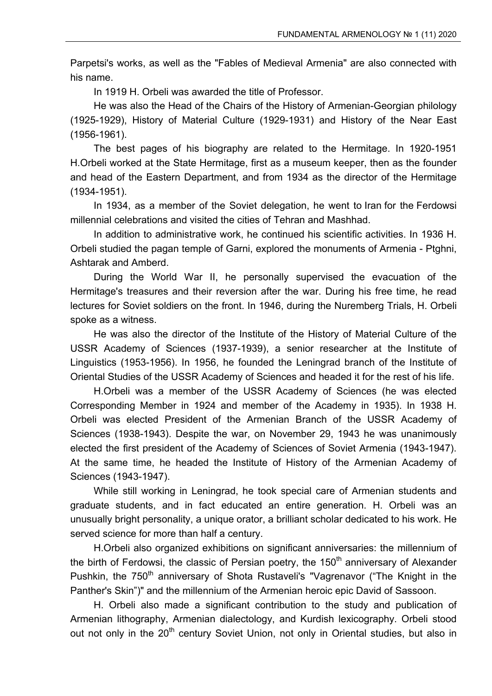Parpetsi's works, as well as the "Fables of Medieval Armenia" are also connected with his name.

In 1919 H. Orbeli was awarded the title of Professor.

He was also the Head of the Chairs of the History of Armenian-Georgian philology (1925-1929), History of Material Culture (1929-1931) and History of the Near East (1956-1961).

The best pages of his biography are related to the Hermitage. In 1920-1951 H.Orbeli worked at the State Hermitage, first as a museum keeper, then as the founder and head of the Eastern Department, and from 1934 as the director of the Hermitage (1934-1951).

In 1934, as a member of the Soviet delegation, he went to Iran for the Ferdowsi millennial celebrations and visited the cities of Tehran and Mashhad.

In addition to administrative work, he continued his scientific activities. In 1936 H. Orbeli studied the pagan temple of Garni, explored the monuments of Armenia - Ptghni, Ashtarak and Amberd.

During the World War II, he personally supervised the evacuation of the Hermitage's treasures and their reversion after the war. During his free time, he read lectures for Soviet soldiers on the front. In 1946, during the Nuremberg Trials, H. Orbeli spoke as a witness.

He was also the director of the Institute of the History of Material Culture of the USSR Academy of Sciences (1937-1939), a senior researcher at the Institute of Linguistics (1953-1956). In 1956, he founded the Leningrad branch of the Institute of Oriental Studies of the USSR Academy of Sciences and headed it for the rest of his life.

H.Orbeli was a member of the USSR Academy of Sciences (he was elected Corresponding Member in 1924 and member of the Academy in 1935). In 1938 H. Orbeli was elected President of the Armenian Branch of the USSR Academy of Sciences (1938-1943). Despite the war, on November 29, 1943 he was unanimously elected the first president of the Academy of Sciences of Soviet Armenia (1943-1947). At the same time, he headed the Institute of History of the Armenian Academy of Sciences (1943-1947).

While still working in Leningrad, he took special care of Armenian students and graduate students, and in fact educated an entire generation. H. Orbeli was an unusually bright personality, a unique orator, a brilliant scholar dedicated to his work. He served science for more than half a century.

H.Orbeli also organized exhibitions on significant anniversaries: the millennium of the birth of Ferdowsi, the classic of Persian poetry, the  $150<sup>th</sup>$  anniversary of Alexander Pushkin, the 750<sup>th</sup> anniversary of Shota Rustaveli's "Vagrenavor ("The Knight in the Panther's Skin")" and the millennium of the Armenian heroic epic David of Sassoon.

H. Orbeli also made a significant contribution to the study and publication of Armenian lithography, Armenian dialectology, and Kurdish lexicography. Orbeli stood out not only in the 20<sup>th</sup> century Soviet Union, not only in Oriental studies, but also in